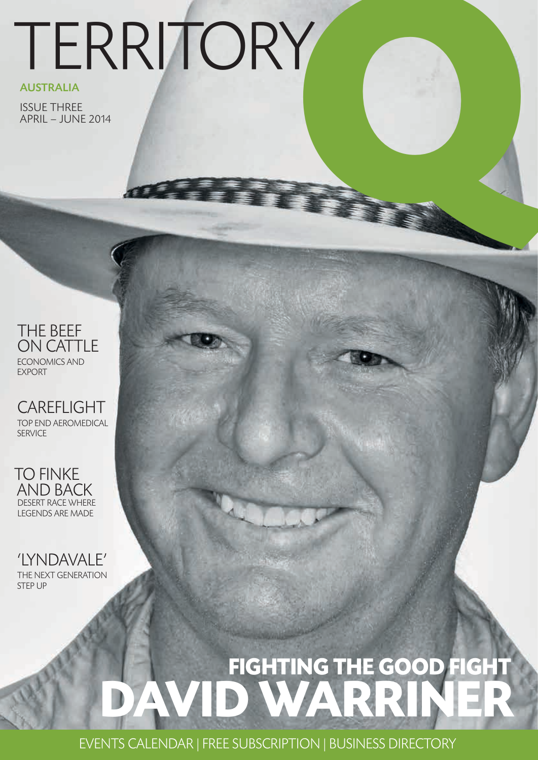# **Q**TERRITORY

### AUSTRALIA

ISSUE THREE APRIL – JUNE 2014

### THE BEEF ON CATTLE ECONOMICS AND EXPORT

CAREFLIGHT TOP END AEROMEDICAL **SERVICE** 

TO FINKE AND BACK DESERT RACE WHERE LEGENDS ARE MADE

'LYNDAVALE' THE NEXT GENERATION STEP UP

### **DAVID WARRINER FIGHTING THE GOOD FIGHT**

EVENTS CALENDAR | FREE SUBSCRIPTION | BUSINESS DIRECTORY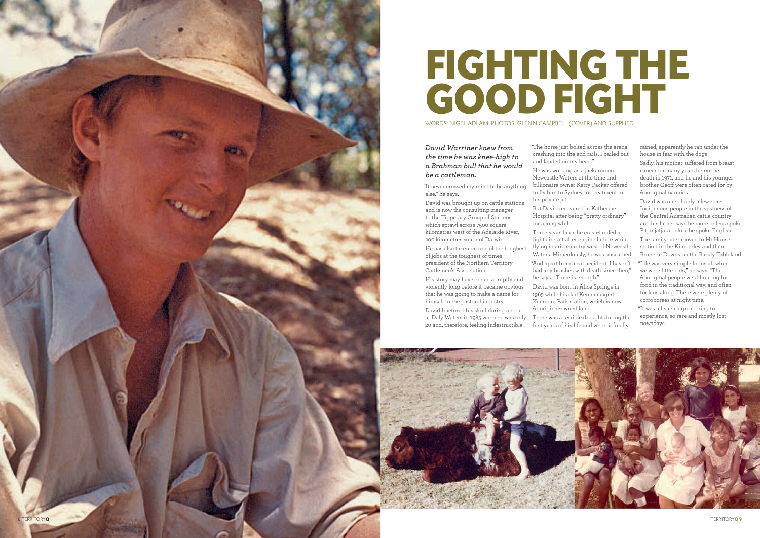

#### *David Warriner knew from the time he was knee-high to a Brahman bull that he would be a cattleman.*

"It never crossed my mind to be anything else," he says.

David was brought up on cattle stations and is now the consulting manager to the Tipperary Group of Stations, which sprawl across 7500 square kilometres west of the Adelaide River, 200 kilometres south of Darwin.

He has also taken on one of the toughest of jobs at the toughest of times – president of the Northern Territory Cattlemen's Association.

His story may have ended abruptly and violently long before it became obvious that he was going to make a name for himself in the pastoral industry.

David fractured his skull during a rodeo at Daly Waters in 1985 when he was only 20 and, therefore, feeling indestructible.

"The horse just bolted across the arena crashing into the end rails. I bailed out and landed on my head." He was working as a jackaroo on

Newcastle Waters at the time and billionaire owner Kerry Packer offered to fly him to Sydney for treatment in

his private jet.

But David recovered in Katherine Hospital after being "pretty ordinary" for a long while.

Three years later, he crash-landed a light aircraft after engine failure while flying in arid country west of Newcastle Waters. Miraculously, he was unscathed.

"And apart from a car accident, I haven't had any brushes with death since then," he says. "Three is enough."

David was born in Alice Springs in 1965 while his dad Ken managed Kenmore Park station, which is now Aboriginal-owned land.

There was a terrible drought during the first years of his life and when it finally





rained, apparently he ran under the house in fear with the dogs

Sadly, his mother suffered from breast cancer for many years before her death in 1971, and he and his younger brother Geoff were often cared for by Aboriginal nannies.

David was one of only a few non-Indigenous people in the vastness of the Central Australian cattle country and his father says he more or less spoke Pitjanjatjara before he spoke English.

The family later moved to Mt House station in the Kimberley and then Brunette Downs on the Barkly Tableland.

"Life was very simple for us all when we were little kids," he says. "The Aboriginal people went hunting for food in the traditional way, and often took us along. There were plenty of corroborees at night time.

"It was all such a great thing to experience, so rare and mostly lost nowadays.

WORDS: NIGEL ADLAM. PHOTOS: GLENN CAMPBELL (COVER) AND SUPPLIED.

## **FIGHTING THE GOOD FIGHT**